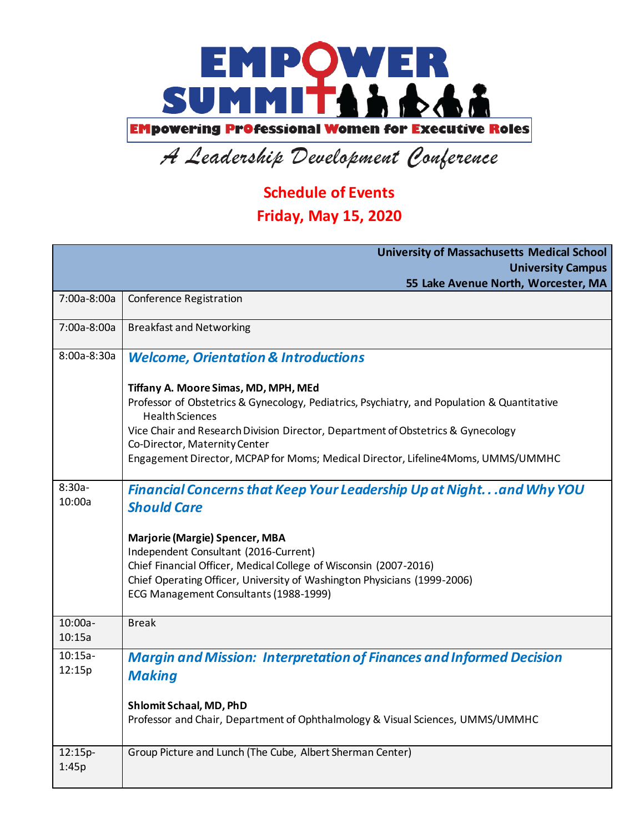

## A Leadership Development Conference

## **Schedule of Events**

## **Friday, May 15, 2020**

|                     | <b>University of Massachusetts Medical School</b>                                                                                                                                                                                                                                                                                                                      |
|---------------------|------------------------------------------------------------------------------------------------------------------------------------------------------------------------------------------------------------------------------------------------------------------------------------------------------------------------------------------------------------------------|
|                     | <b>University Campus</b>                                                                                                                                                                                                                                                                                                                                               |
|                     | 55 Lake Avenue North, Worcester, MA                                                                                                                                                                                                                                                                                                                                    |
| 7:00a-8:00a         | <b>Conference Registration</b>                                                                                                                                                                                                                                                                                                                                         |
| 7:00a-8:00a         | <b>Breakfast and Networking</b>                                                                                                                                                                                                                                                                                                                                        |
| 8:00a-8:30a         | <b>Welcome, Orientation &amp; Introductions</b>                                                                                                                                                                                                                                                                                                                        |
|                     | Tiffany A. Moore Simas, MD, MPH, MEd<br>Professor of Obstetrics & Gynecology, Pediatrics, Psychiatry, and Population & Quantitative<br><b>Health Sciences</b><br>Vice Chair and Research Division Director, Department of Obstetrics & Gynecology<br>Co-Director, Maternity Center<br>Engagement Director, MCPAP for Moms; Medical Director, Lifeline4Moms, UMMS/UMMHC |
| $8:30a-$<br>10:00a  | Financial Concerns that Keep Your Leadership Up at Nightand Why YOU<br><b>Should Care</b><br>Marjorie (Margie) Spencer, MBA<br>Independent Consultant (2016-Current)<br>Chief Financial Officer, Medical College of Wisconsin (2007-2016)<br>Chief Operating Officer, University of Washington Physicians (1999-2006)<br>ECG Management Consultants (1988-1999)        |
| $10:00a-$<br>10:15a | <b>Break</b>                                                                                                                                                                                                                                                                                                                                                           |
| $10:15a-$<br>12:15p | <b>Margin and Mission: Interpretation of Finances and Informed Decision</b><br><b>Making</b><br>Shlomit Schaal, MD, PhD<br>Professor and Chair, Department of Ophthalmology & Visual Sciences, UMMS/UMMHC                                                                                                                                                              |
| 12:15p-<br>1:45p    | Group Picture and Lunch (The Cube, Albert Sherman Center)                                                                                                                                                                                                                                                                                                              |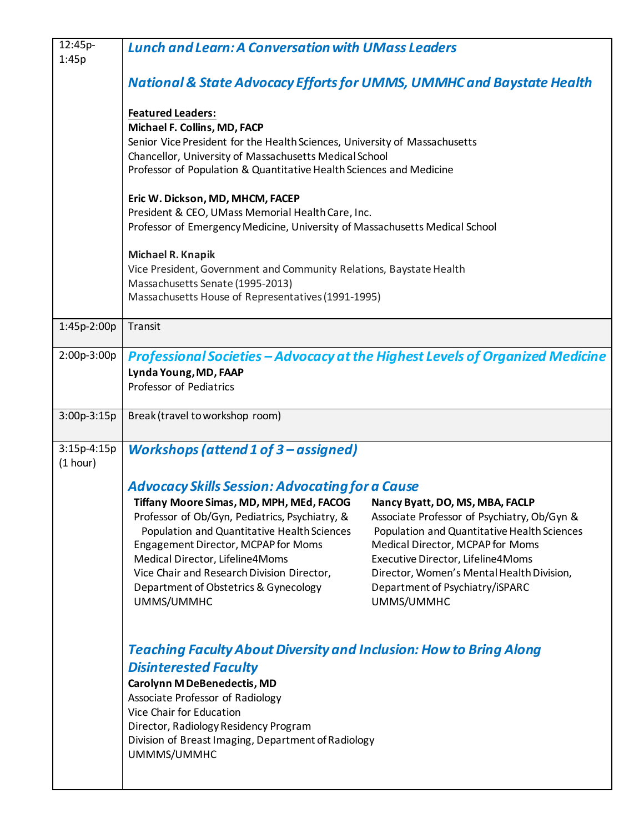| 12:45p-<br>1:45p          | <b>Lunch and Learn: A Conversation with UMass Leaders</b>                                                                                                                                                                                                                                                                                                                                                                                                                                                                                                                                                                                                                                  |
|---------------------------|--------------------------------------------------------------------------------------------------------------------------------------------------------------------------------------------------------------------------------------------------------------------------------------------------------------------------------------------------------------------------------------------------------------------------------------------------------------------------------------------------------------------------------------------------------------------------------------------------------------------------------------------------------------------------------------------|
|                           | <b>National &amp; State Advocacy Efforts for UMMS, UMMHC and Baystate Health</b>                                                                                                                                                                                                                                                                                                                                                                                                                                                                                                                                                                                                           |
|                           | <b>Featured Leaders:</b><br>Michael F. Collins, MD, FACP<br>Senior Vice President for the Health Sciences, University of Massachusetts<br>Chancellor, University of Massachusetts Medical School<br>Professor of Population & Quantitative Health Sciences and Medicine                                                                                                                                                                                                                                                                                                                                                                                                                    |
|                           | Eric W. Dickson, MD, MHCM, FACEP<br>President & CEO, UMass Memorial Health Care, Inc.<br>Professor of Emergency Medicine, University of Massachusetts Medical School                                                                                                                                                                                                                                                                                                                                                                                                                                                                                                                       |
|                           | Michael R. Knapik<br>Vice President, Government and Community Relations, Baystate Health<br>Massachusetts Senate (1995-2013)<br>Massachusetts House of Representatives (1991-1995)                                                                                                                                                                                                                                                                                                                                                                                                                                                                                                         |
| 1:45p-2:00p               | Transit                                                                                                                                                                                                                                                                                                                                                                                                                                                                                                                                                                                                                                                                                    |
| 2:00p-3:00p               | Professional Societies - Advocacy at the Highest Levels of Organized Medicine<br>Lynda Young, MD, FAAP<br>Professor of Pediatrics                                                                                                                                                                                                                                                                                                                                                                                                                                                                                                                                                          |
| 3:00p-3:15p               | Break (travel to workshop room)                                                                                                                                                                                                                                                                                                                                                                                                                                                                                                                                                                                                                                                            |
| $3:15p-4:15p$<br>(1 hour) | <b>Workshops (attend 1 of 3 - assigned)</b>                                                                                                                                                                                                                                                                                                                                                                                                                                                                                                                                                                                                                                                |
|                           | <b>Advocacy Skills Session: Advocating for a Cause</b><br>Tiffany Moore Simas, MD, MPH, MEd, FACOG<br>Nancy Byatt, DO, MS, MBA, FACLP<br>Professor of Ob/Gyn, Pediatrics, Psychiatry, &<br>Associate Professor of Psychiatry, Ob/Gyn &<br>Population and Quantitative Health Sciences<br>Population and Quantitative Health Sciences<br>Engagement Director, MCPAP for Moms<br>Medical Director, MCPAP for Moms<br>Medical Director, Lifeline4Moms<br>Executive Director, Lifeline4Moms<br>Vice Chair and Research Division Director,<br>Director, Women's Mental Health Division,<br>Department of Obstetrics & Gynecology<br>Department of Psychiatry/iSPARC<br>UMMS/UMMHC<br>UMMS/UMMHC |
|                           | <b>Teaching Faculty About Diversity and Inclusion: How to Bring Along</b><br><b>Disinterested Faculty</b><br>Carolynn M DeBenedectis, MD<br>Associate Professor of Radiology<br>Vice Chair for Education<br>Director, Radiology Residency Program<br>Division of Breast Imaging, Department of Radiology<br>UMMMS/UMMHC                                                                                                                                                                                                                                                                                                                                                                    |